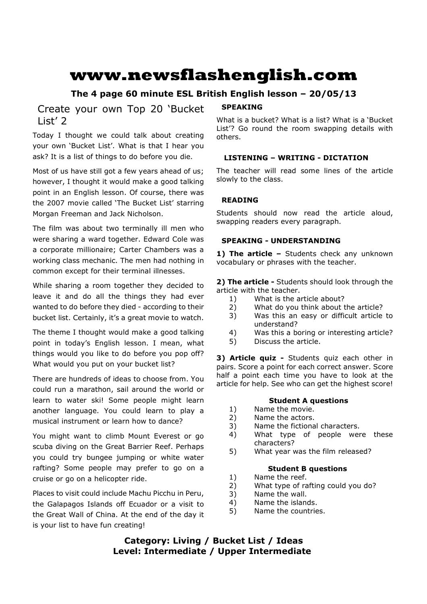# **www.newsflashenglish.com**

# **The 4 page 60 minute ESL British English lesson – 20/05/13**

Create your own Top 20 'Bucket List' 2

Today I thought we could talk about creating your own 'Bucket List'. What is that I hear you ask? It is a list of things to do before you die.

Most of us have still got a few years ahead of us; however, I thought it would make a good talking point in an English lesson. Of course, there was the 2007 movie called 'The Bucket List' starring Morgan Freeman and Jack Nicholson.

The film was about two terminally ill men who were sharing a ward together. Edward Cole was a corporate millionaire; Carter Chambers was a working class mechanic. The men had nothing in common except for their terminal illnesses.

While sharing a room together they decided to leave it and do all the things they had ever wanted to do before they died - according to their bucket list. Certainly, it's a great movie to watch.

The theme I thought would make a good talking point in today's English lesson. I mean, what things would you like to do before you pop off? What would you put on your bucket list?

There are hundreds of ideas to choose from. You could run a marathon, sail around the world or learn to water ski! Some people might learn another language. You could learn to play a musical instrument or learn how to dance?

You might want to climb Mount Everest or go scuba diving on the Great Barrier Reef. Perhaps you could try bungee jumping or white water rafting? Some people may prefer to go on a cruise or go on a helicopter ride.

Places to visit could include Machu Picchu in Peru, the Galapagos Islands off Ecuador or a visit to the Great Wall of China. At the end of the day it is your list to have fun creating!

# **SPEAKING**

What is a bucket? What is a list? What is a 'Bucket List'? Go round the room swapping details with others.

# **LISTENING – WRITING - DICTATION**

The teacher will read some lines of the article slowly to the class.

# **READING**

Students should now read the article aloud, swapping readers every paragraph.

# **SPEAKING - UNDERSTANDING**

1) The article - Students check any unknown vocabulary or phrases with the teacher.

**2) The article -** Students should look through the article with the teacher.

- 1) What is the article about?
- 2) What do you think about the article?
- 3) Was this an easy or difficult article to understand?
- 4) Was this a boring or interesting article?
- 5) Discuss the article.

**3) Article quiz -** Students quiz each other in pairs. Score a point for each correct answer. Score half a point each time you have to look at the article for help. See who can get the highest score!

# **Student A questions**

- 1) Name the movie.
- 2) Name the actors.
- 3) Name the fictional characters.
- 4) What type of people were these characters?
- 5) What year was the film released?

# **Student B questions**

- 1) Name the reef.
- 2) What type of rafting could you do?
- 3) Name the wall.
- 4) Name the islands.
- 5) Name the countries.

**Category: Living / Bucket List / Ideas Level: Intermediate / Upper Intermediate**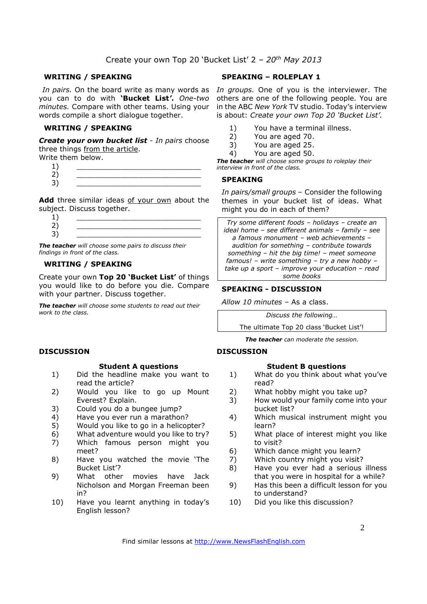# Create your own Top 20 'Bucket List' 2 *– 20th May 2013*

#### **WRITING / SPEAKING**

you can to do with **'Bucket List***'***.** *One-two minutes.* Compare with other teams. Using your words compile a short dialogue together.

#### **WRITING / SPEAKING**

*Create your own bucket list - In pairs* choose three things from the article.

| Write them below. |  |
|-------------------|--|
|-------------------|--|

 $1)$   $\qquad \qquad$ 2) \_\_\_\_\_\_\_\_\_\_\_\_\_\_\_\_\_\_\_\_\_\_\_\_\_\_\_\_ 3) \_\_\_\_\_\_\_\_\_\_\_\_\_\_\_\_\_\_\_\_\_\_\_\_\_\_\_\_

Add three similar ideas of your own about the subject. Discuss together.

*The teacher will choose some pairs to discuss their findings in front of the class.* 

### **WRITING / SPEAKING**

Create your own **Top 20 'Bucket List'** of things you would like to do before you die. Compare with your partner. Discuss together.

*The teacher will choose some students to read out their work to the class.* 

# **DISCUSSION**

#### **Student A questions**

- 1) Did the headline make you want to read the article?
- 2) Would you like to go up Mount Everest? Explain.
- 3) Could you do a bungee jump?
- 4) Have you ever run a marathon?
- 5) Would you like to go in a helicopter?
- 6) What adventure would you like to try?
- 7) Which famous person might you meet?
- 8) Have you watched the movie 'The Bucket List'?
- 9) What other movies have Jack Nicholson and Morgan Freeman been in?
- 10) Have you learnt anything in today's English lesson?

### **SPEAKING – ROLEPLAY 1**

In pairs. On the board write as many words as In groups. One of you is the interviewer. The others are one of the following people. You are in the ABC *New York* TV studio. Today's interview is about: *Create your own Top 20 'Bucket List'.* 

- 1) You have a terminal illness.
- 2) You are aged 70.
- 3) You are aged 25.
- 4) You are aged 50.

*The teacher will choose some groups to roleplay their interview in front of the class.* 

#### **SPEAKING**

*In pairs/small groups* – Consider the following themes in your bucket list of ideas. What might you do in each of them?

*Try some different foods – holidays – create an ideal home – see different animals – family – see a famous monument – web achievements – audition for something – contribute towards something – hit the big time! – meet someone famous! – write something – try a new hobby – take up a sport – improve your education – read some books*

#### **SPEAKING - DISCUSSION**

*Allow 10 minutes* – As a class.

*Discuss the following…* 

The ultimate Top 20 class 'Bucket List'!

*The teacher can moderate the session.*

# **DISCUSSION**

#### **Student B questions**

- 1) What do you think about what you've read?
- 2) What hobby might you take up?
- 3) How would your family come into your bucket list?
- 4) Which musical instrument might you learn?
- 5) What place of interest might you like to visit?
- 6) Which dance might you learn?
- 7) Which country might you visit?
- 8) Have you ever had a serious illness that you were in hospital for a while?
- 9) Has this been a difficult lesson for you to understand?
- 10) Did you like this discussion?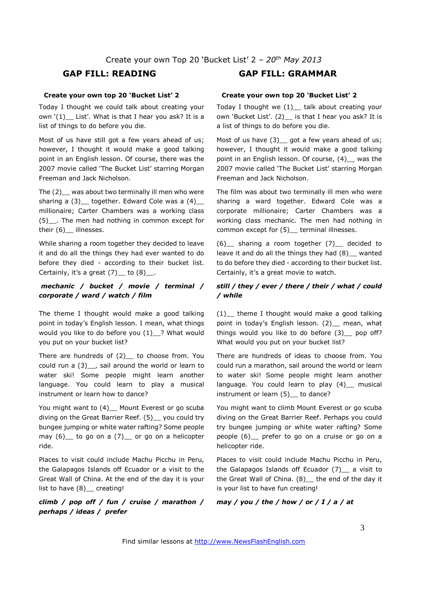#### **Create your own top 20 'Bucket List' 2**

Today I thought we could talk about creating your own  $'(1)$  List'. What is that I hear you ask? It is a list of things to do before you die.

Most of us have still got a few years ahead of us; however, I thought it would make a good talking point in an English lesson. Of course, there was the 2007 movie called 'The Bucket List' starring Morgan Freeman and Jack Nicholson.

The (2)\_\_ was about two terminally ill men who were sharing a  $(3)$  together. Edward Cole was a  $(4)$ millionaire; Carter Chambers was a working class (5)\_\_. The men had nothing in common except for their (6) | illnesses.

While sharing a room together they decided to leave it and do all the things they had ever wanted to do before they died - according to their bucket list. Certainly, it's a great  $(7)$  to  $(8)$ .

# *mechanic / bucket / movie / terminal / corporate / ward / watch / film*

The theme I thought would make a good talking point in today's English lesson. I mean, what things would you like to do before you (1)\_? What would you put on your bucket list?

There are hundreds of  $(2)$  to choose from. You could run a (3)\_\_, sail around the world or learn to water ski! Some people might learn another language. You could learn to play a musical instrument or learn how to dance?

You might want to (4) Mount Everest or go scuba diving on the Great Barrier Reef. (5)\_\_ you could try bungee jumping or white water rafting? Some people may  $(6)$  to go on a  $(7)$  or go on a helicopter ride.

Places to visit could include Machu Picchu in Peru, the Galapagos Islands off Ecuador or a visit to the Great Wall of China. At the end of the day it is your list to have (8) creating!

*climb / pop off / fun / cruise / marathon / perhaps / ideas / prefer*

# **GAP FILL: READING GAP FILL: GRAMMAR**

#### **Create your own top 20 'Bucket List' 2**

Today I thought we (1)\_\_ talk about creating your own 'Bucket List'. (2) is that I hear you ask? It is a list of things to do before you die.

Most of us have  $(3)$  got a few years ahead of us; however, I thought it would make a good talking point in an English lesson. Of course, (4) was the 2007 movie called 'The Bucket List' starring Morgan Freeman and Jack Nicholson.

The film was about two terminally ill men who were sharing a ward together. Edward Cole was a corporate millionaire; Carter Chambers was a working class mechanic. The men had nothing in common except for (5) \_ terminal illnesses.

(6)\_\_ sharing a room together (7)\_\_ decided to leave it and do all the things they had (8)\_\_ wanted to do before they died - according to their bucket list. Certainly, it's a great movie to watch.

# *still / they / ever / there / their / what / could / while*

 $(1)$  theme I thought would make a good talking point in today's English lesson. (2) mean, what things would you like to do before  $(3)$  pop off? What would you put on your bucket list?

There are hundreds of ideas to choose from. You could run a marathon, sail around the world or learn to water ski! Some people might learn another language. You could learn to play (4) musical instrument or learn (5) to dance?

You might want to climb Mount Everest or go scuba diving on the Great Barrier Reef. Perhaps you could try bungee jumping or white water rafting? Some people (6)\_\_ prefer to go on a cruise or go on a helicopter ride.

Places to visit could include Machu Picchu in Peru, the Galapagos Islands off Ecuador (7)\_\_ a visit to the Great Wall of China. (8)\_\_ the end of the day it is your list to have fun creating!

*may / you / the / how / or / I / a / at*